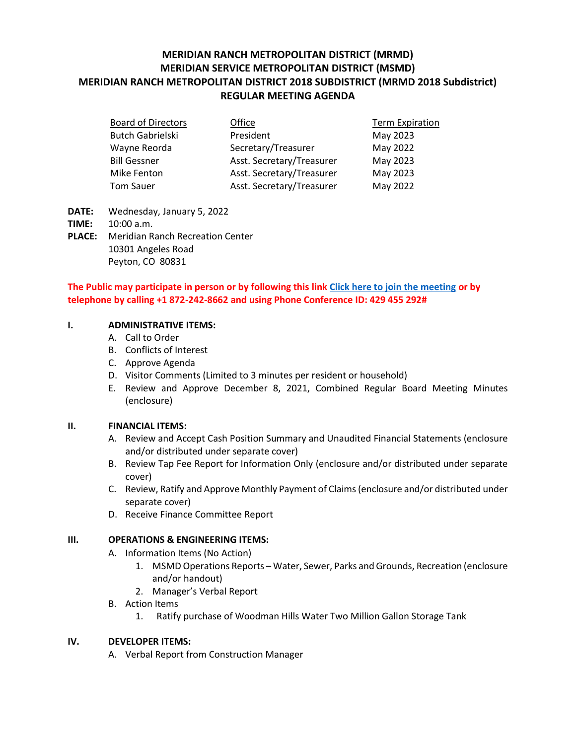# **MERIDIAN RANCH METROPOLITAN DISTRICT (MRMD) MERIDIAN SERVICE METROPOLITAN DISTRICT (MSMD) MERIDIAN RANCH METROPOLITAN DISTRICT 2018 SUBDISTRICT (MRMD 2018 Subdistrict) REGULAR MEETING AGENDA**

| <b>Board of Directors</b> | Office                    | <b>Term Expiration</b> |
|---------------------------|---------------------------|------------------------|
| <b>Butch Gabrielski</b>   | President                 | May 2023               |
| Wayne Reorda              | Secretary/Treasurer       | May 2022               |
| <b>Bill Gessner</b>       | Asst. Secretary/Treasurer | May 2023               |
| <b>Mike Fenton</b>        | Asst. Secretary/Treasurer | May 2023               |
| <b>Tom Sauer</b>          | Asst. Secretary/Treasurer | May 2022               |

- **DATE:** Wednesday, January 5, 2022
- **TIME:** 10:00 a.m.
- **PLACE:** Meridian Ranch Recreation Center 10301 Angeles Road Peyton, CO 80831

## **The Public may participate in person or by following this link [Click here to join the meeting](https://teams.microsoft.com/l/meetup-join/19%3ameeting_YmY0OGE3OWItYWJhYi00MjE3LWFhODEtNGViOGQ5NThiYWY0%40thread.v2/0?context=%7b%22Tid%22%3a%22ddbf1e07-ec1e-4dc6-8ef3-1a31c2da785b%22%2c%22Oid%22%3a%22778ad138-ba67-4d4d-bdb1-39557c30639d%22%7d) or by telephone by calling +1 872-242-8662 and using Phone Conference ID: 429 455 292#**

#### **I. ADMINISTRATIVE ITEMS:**

- A. Call to Order
- B. Conflicts of Interest
- C. Approve Agenda
- D. Visitor Comments (Limited to 3 minutes per resident or household)
- E. Review and Approve December 8, 2021, Combined Regular Board Meeting Minutes (enclosure)

### **II. FINANCIAL ITEMS:**

- A. Review and Accept Cash Position Summary and Unaudited Financial Statements (enclosure and/or distributed under separate cover)
- B. Review Tap Fee Report for Information Only (enclosure and/or distributed under separate cover)
- C. Review, Ratify and Approve Monthly Payment of Claims (enclosure and/or distributed under separate cover)
- D. Receive Finance Committee Report

### **III. OPERATIONS & ENGINEERING ITEMS:**

- A. Information Items (No Action)
	- 1. MSMD Operations Reports Water, Sewer, Parks and Grounds, Recreation (enclosure and/or handout)
	- 2. Manager's Verbal Report
- B. Action Items
	- 1. Ratify purchase of Woodman Hills Water Two Million Gallon Storage Tank

### **IV. DEVELOPER ITEMS:**

A. Verbal Report from Construction Manager